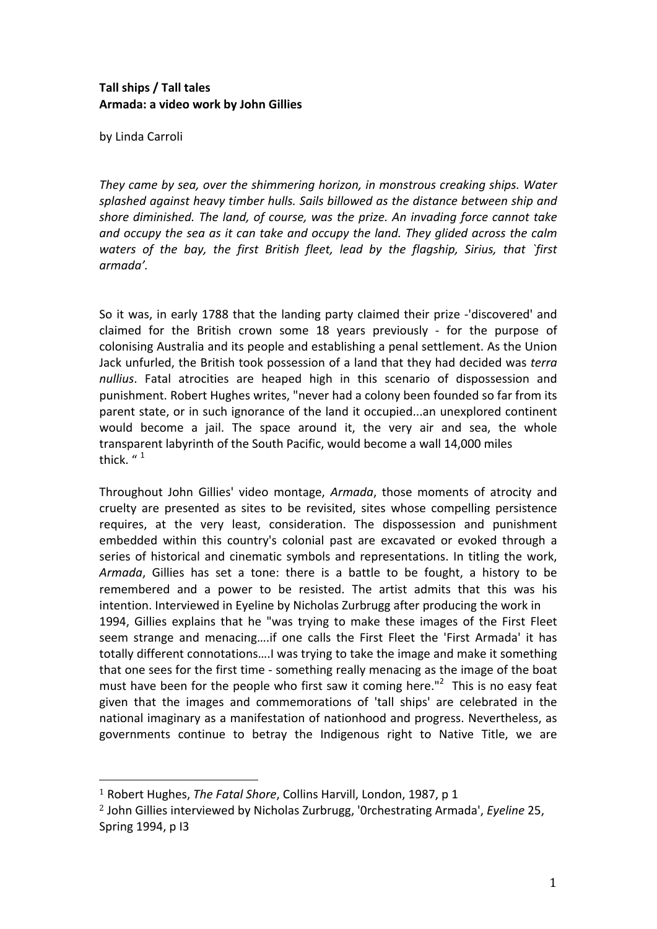## Tall ships / Tall tales Armada: a video work by John Gillies

by Linda Carroli

*They came by sea, over the shimmering horizon, in monstrous creaking ships. Water* splashed against heavy timber hulls. Sails billowed as the distance between ship and shore diminished. The land, of course, was the prize. An invading force cannot take and *occupy the sea as it can take and occupy the land. They glided across the calm waters% of% the% bay,% the% first% British% fleet,% lead% by% the% flagship,% Sirius,% that% `first% armada'.*

So it was, in early 1788 that the landing party claimed their prize -'discovered' and claimed for the British crown some 18 years previously - for the purpose of colonising Australia and its people and establishing a penal settlement. As the Union Jack unfurled, the British took possession of a land that they had decided was *terra* nullius. Fatal atrocities are heaped high in this scenario of dispossession and punishment. Robert Hughes writes, "never had a colony been founded so far from its parent state, or in such ignorance of the land it occupied...an unexplored continent would become a jail. The space around it, the very air and sea, the whole transparent labyrinth of the South Pacific, would become a wall 14,000 miles thick.  $1$ 

Throughout John Gillies' video montage, *Armada*, those moments of atrocity and cruelty are presented as sites to be revisited, sites whose compelling persistence requires, at the very least, consideration. The dispossession and punishment embedded within this country's colonial past are excavated or evoked through a series of historical and cinematic symbols and representations. In titling the work, *Armada*, Gillies has set a tone: there is a battle to be fought, a history to be remembered and a power to be resisted. The artist admits that this was his intention. Interviewed in Eyeline by Nicholas Zurbrugg after producing the work in 1994, Gillies explains that he "was trying to make these images of the First Fleet seem strange and menacing....if one calls the First Fleet the 'First Armada' it has totally different connotations....I was trying to take the image and make it something that one sees for the first time - something really menacing as the image of the boat must have been for the people who first saw it coming here."<sup>2</sup> This is no easy feat given that the images and commemorations of 'tall ships' are celebrated in the national imaginary as a manifestation of nationhood and progress. Nevertheless, as governments continue to betray the Indigenous right to Native Title, we are

!!!!!!!!!!!!!!!!!!!!!!!!!!!!!!!!!!!!!!!!!!!!!!!!!!!!!!!

<sup>&</sup>lt;sup>1</sup> Robert Hughes, *The Fatal Shore*, Collins Harvill, London, 1987, p 1

<sup>&</sup>lt;sup>2</sup> John Gillies interviewed by Nicholas Zurbrugg, '0rchestrating Armada', *Eyeline* 25, Spring 1994, p I3